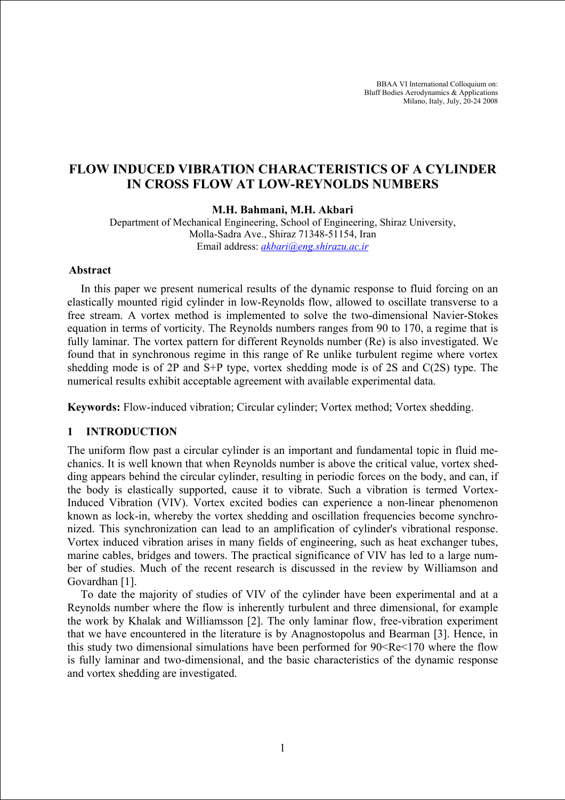BBAA VI International Colloquium on: Bluff Bodies Aerodynamics & Applications Milano, Italy, July, 20-24 2008

# **FLOW INDUCED VIBRATION CHARACTERISTICS OF A CYLINDER IN CROSS FLOW AT LOW-REYNOLDS NUMBERS**

**M.H. Bahmani, M.H. Akbari** 

Department of Mechanical Engineering, School of Engineering, Shiraz University, Molla-Sadra Ave., Shiraz 71348-51154, Iran Email address: *akbari@eng.shirazu.ac.ir*

### **Abstract**

 In this paper we present numerical results of the dynamic response to fluid forcing on an elastically mounted rigid cylinder in low-Reynolds flow, allowed to oscillate transverse to a free stream. A vortex method is implemented to solve the two-dimensional Navier-Stokes equation in terms of vorticity. The Reynolds numbers ranges from 90 to 170, a regime that is fully laminar. The vortex pattern for different Reynolds number (Re) is also investigated. We found that in synchronous regime in this range of Re unlike turbulent regime where vortex shedding mode is of 2P and S+P type, vortex shedding mode is of 2S and C(2S) type. The numerical results exhibit acceptable agreement with available experimental data.

**Keywords:** Flow-induced vibration; Circular cylinder; Vortex method; Vortex shedding.

### **1 INTRODUCTION**

The uniform flow past a circular cylinder is an important and fundamental topic in fluid mechanics. It is well known that when Reynolds number is above the critical value, vortex shedding appears behind the circular cylinder, resulting in periodic forces on the body, and can, if the body is elastically supported, cause it to vibrate. Such a vibration is termed Vortex-Induced Vibration (VIV). Vortex excited bodies can experience a non-linear phenomenon known as lock-in, whereby the vortex shedding and oscillation frequencies become synchronized. This synchronization can lead to an amplification of cylinder's vibrational response. Vortex induced vibration arises in many fields of engineering, such as heat exchanger tubes, marine cables, bridges and towers. The practical significance of VIV has led to a large number of studies. Much of the recent research is discussed in the review by Williamson and Govardhan [1].

 To date the majority of studies of VIV of the cylinder have been experimental and at a Reynolds number where the flow is inherently turbulent and three dimensional, for example the work by Khalak and Williamsson [2]. The only laminar flow, free-vibration experiment that we have encountered in the literature is by Anagnostopolus and Bearman [3]. Hence, in this study two dimensional simulations have been performed for 90<Re<170 where the flow is fully laminar and two-dimensional, and the basic characteristics of the dynamic response and vortex shedding are investigated.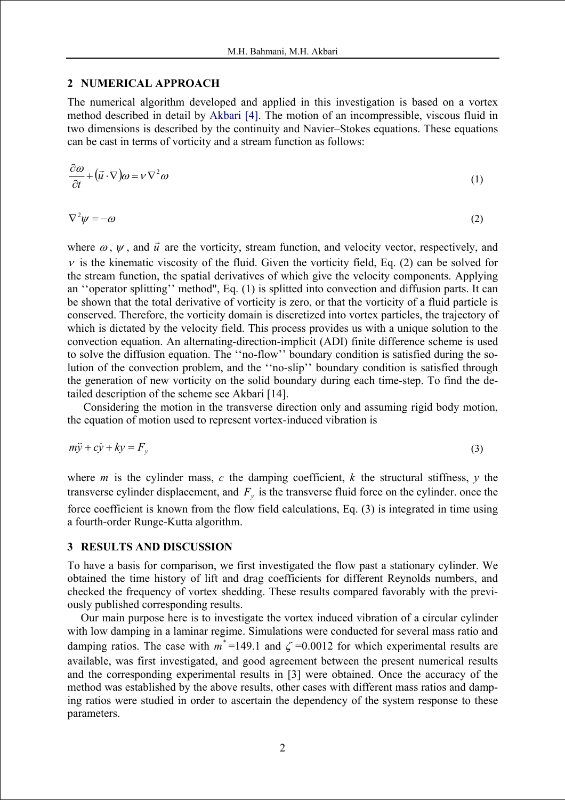#### **2 NUMERICAL APPROACH**

The numerical algorithm developed and applied in this investigation is based on a vortex method described in detail by Akbari [4]. The motion of an incompressible, viscous fluid in two dimensions is described by the continuity and Navier–Stokes equations. These equations can be cast in terms of vorticity and a stream function as follows:

$$
\frac{\partial \omega}{\partial t} + (\vec{u} \cdot \nabla)\omega = v \nabla^2 \omega \tag{1}
$$

$$
\nabla^2 \psi = -\omega \tag{2}
$$

where  $\omega$ ,  $\psi$ , and  $\vec{u}$  are the vorticity, stream function, and velocity vector, respectively, and  $\nu$  is the kinematic viscosity of the fluid. Given the vorticity field, Eq. (2) can be solved for the stream function, the spatial derivatives of which give the velocity components. Applying an ''operator splitting'' method", Eq. (1) is splitted into convection and diffusion parts. It can be shown that the total derivative of vorticity is zero, or that the vorticity of a fluid particle is conserved. Therefore, the vorticity domain is discretized into vortex particles, the trajectory of which is dictated by the velocity field. This process provides us with a unique solution to the convection equation. An alternating-direction-implicit (ADI) finite difference scheme is used to solve the diffusion equation. The ''no-flow'' boundary condition is satisfied during the solution of the convection problem, and the ''no-slip'' boundary condition is satisfied through the generation of new vorticity on the solid boundary during each time-step. To find the detailed description of the scheme see Akbari [14].

Considering the motion in the transverse direction only and assuming rigid body motion, the equation of motion used to represent vortex-induced vibration is

$$
m\ddot{y} + c\dot{y} + ky = F_y \tag{3}
$$

where *m* is the cylinder mass, *c* the damping coefficient, *k* the structural stiffness, *y* the transverse cylinder displacement, and  $F_y$  is the transverse fluid force on the cylinder. once the force coefficient is known from the flow field calculations, Eq. (3) is integrated in time using a fourth-order Runge-Kutta algorithm.

### **3 RESULTS AND DISCUSSION**

To have a basis for comparison, we first investigated the flow past a stationary cylinder. We obtained the time history of lift and drag coefficients for different Reynolds numbers, and checked the frequency of vortex shedding. These results compared favorably with the previously published corresponding results.

 Our main purpose here is to investigate the vortex induced vibration of a circular cylinder with low damping in a laminar regime. Simulations were conducted for several mass ratio and damping ratios. The case with  $m^*$ =149.1 and  $\zeta$ =0.0012 for which experimental results are available, was first investigated, and good agreement between the present numerical results and the corresponding experimental results in [3] were obtained. Once the accuracy of the method was established by the above results, other cases with different mass ratios and damping ratios were studied in order to ascertain the dependency of the system response to these parameters.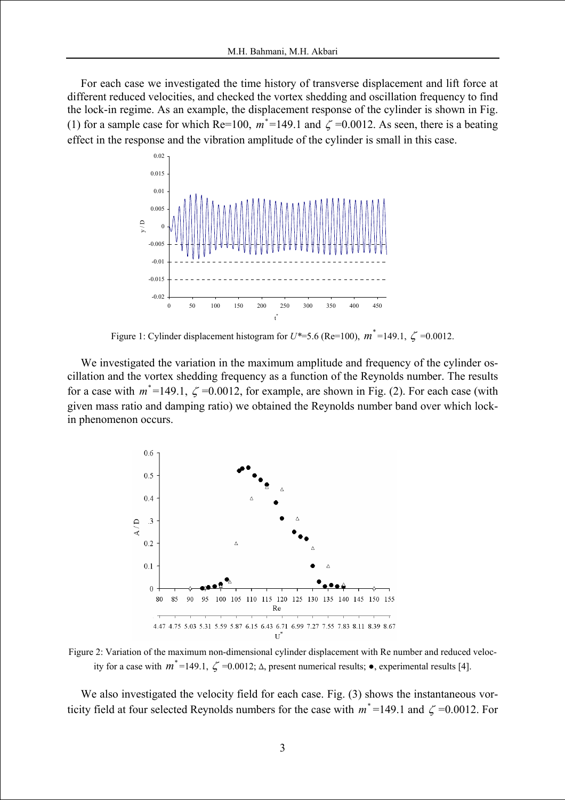For each case we investigated the time history of transverse displacement and lift force at different reduced velocities, and checked the vortex shedding and oscillation frequency to find the lock-in regime. As an example, the displacement response of the cylinder is shown in Fig. (1) for a sample case for which Re=100,  $m^*$ =149.1 and  $\zeta$  =0.0012. As seen, there is a beating effect in the response and the vibration amplitude of the cylinder is small in this case.



Figure 1: Cylinder displacement histogram for  $U^*=5.6$  (Re=100),  $m^*=149.1$ ,  $\zeta = 0.0012$ .

 We investigated the variation in the maximum amplitude and frequency of the cylinder oscillation and the vortex shedding frequency as a function of the Reynolds number. The results for a case with  $m^*$ =149.1,  $\zeta$  =0.0012, for example, are shown in Fig. (2). For each case (with given mass ratio and damping ratio) we obtained the Reynolds number band over which lockin phenomenon occurs.



Figure 2: Variation of the maximum non-dimensional cylinder displacement with Re number and reduced velocity for a case with  $m^* = 149.1$ ,  $\zeta = 0.0012$ ;  $\Delta$ , present numerical results;  $\bullet$ , experimental results [4].

We also investigated the velocity field for each case. Fig.  $(3)$  shows the instantaneous vorticity field at four selected Reynolds numbers for the case with  $m^*$ =149.1 and  $\zeta$ =0.0012. For